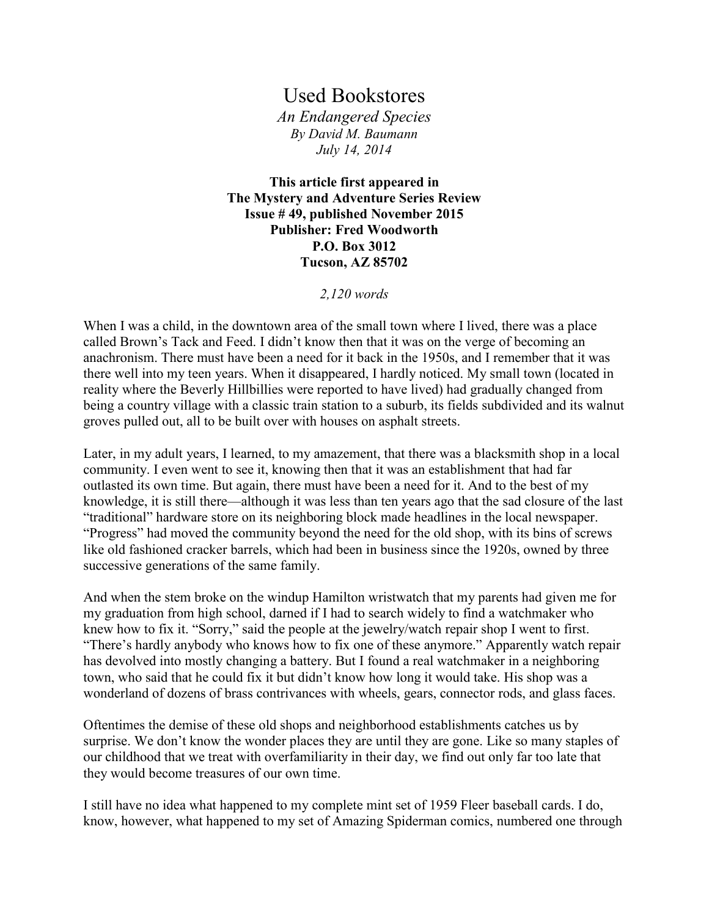## Used Bookstores

*An Endangered Species By David M. Baumann July 14, 2014*

**This article first appeared in The Mystery and Adventure Series Review Issue # 49, published November 2015 Publisher: Fred Woodworth P.O. Box 3012 Tucson, AZ 85702**

## *2,120 words*

When I was a child, in the downtown area of the small town where I lived, there was a place called Brown's Tack and Feed. I didn't know then that it was on the verge of becoming an anachronism. There must have been a need for it back in the 1950s, and I remember that it was there well into my teen years. When it disappeared, I hardly noticed. My small town (located in reality where the Beverly Hillbillies were reported to have lived) had gradually changed from being a country village with a classic train station to a suburb, its fields subdivided and its walnut groves pulled out, all to be built over with houses on asphalt streets.

Later, in my adult years, I learned, to my amazement, that there was a blacksmith shop in a local community. I even went to see it, knowing then that it was an establishment that had far outlasted its own time. But again, there must have been a need for it. And to the best of my knowledge, it is still there—although it was less than ten years ago that the sad closure of the last "traditional" hardware store on its neighboring block made headlines in the local newspaper. "Progress" had moved the community beyond the need for the old shop, with its bins of screws like old fashioned cracker barrels, which had been in business since the 1920s, owned by three successive generations of the same family.

And when the stem broke on the windup Hamilton wristwatch that my parents had given me for my graduation from high school, darned if I had to search widely to find a watchmaker who knew how to fix it. "Sorry," said the people at the jewelry/watch repair shop I went to first. "There's hardly anybody who knows how to fix one of these anymore." Apparently watch repair has devolved into mostly changing a battery. But I found a real watchmaker in a neighboring town, who said that he could fix it but didn't know how long it would take. His shop was a wonderland of dozens of brass contrivances with wheels, gears, connector rods, and glass faces.

Oftentimes the demise of these old shops and neighborhood establishments catches us by surprise. We don't know the wonder places they are until they are gone. Like so many staples of our childhood that we treat with overfamiliarity in their day, we find out only far too late that they would become treasures of our own time.

I still have no idea what happened to my complete mint set of 1959 Fleer baseball cards. I do, know, however, what happened to my set of Amazing Spiderman comics, numbered one through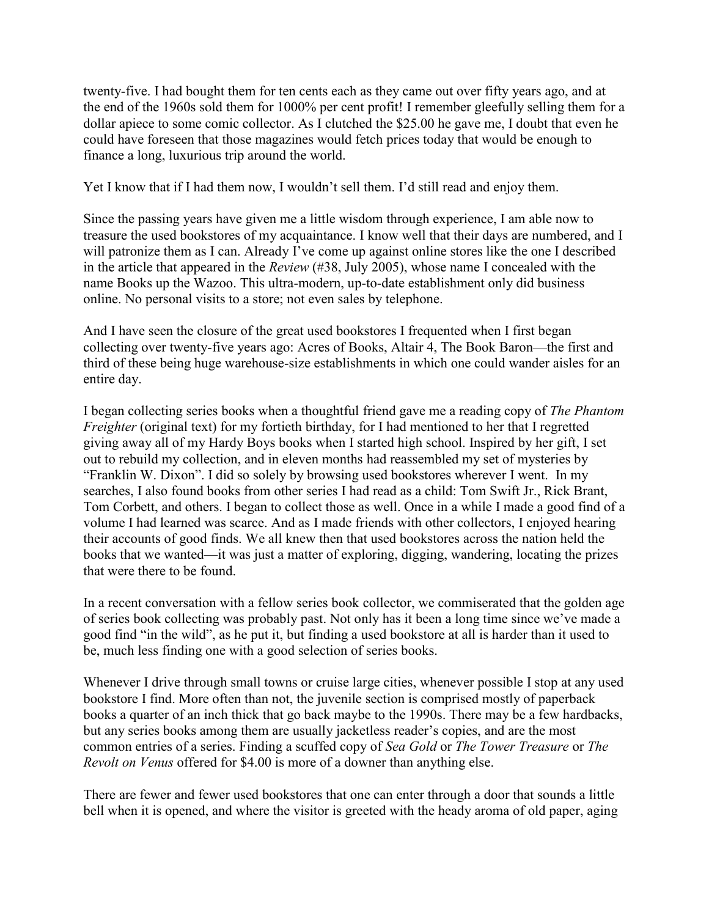twenty-five. I had bought them for ten cents each as they came out over fifty years ago, and at the end of the 1960s sold them for 1000% per cent profit! I remember gleefully selling them for a dollar apiece to some comic collector. As I clutched the \$25.00 he gave me, I doubt that even he could have foreseen that those magazines would fetch prices today that would be enough to finance a long, luxurious trip around the world.

Yet I know that if I had them now, I wouldn't sell them. I'd still read and enjoy them.

Since the passing years have given me a little wisdom through experience, I am able now to treasure the used bookstores of my acquaintance. I know well that their days are numbered, and I will patronize them as I can. Already I've come up against online stores like the one I described in the article that appeared in the *Review* (#38, July 2005), whose name I concealed with the name Books up the Wazoo. This ultra-modern, up-to-date establishment only did business online. No personal visits to a store; not even sales by telephone.

And I have seen the closure of the great used bookstores I frequented when I first began collecting over twenty-five years ago: Acres of Books, Altair 4, The Book Baron—the first and third of these being huge warehouse-size establishments in which one could wander aisles for an entire day.

I began collecting series books when a thoughtful friend gave me a reading copy of *The Phantom Freighter* (original text) for my fortieth birthday, for I had mentioned to her that I regretted giving away all of my Hardy Boys books when I started high school. Inspired by her gift, I set out to rebuild my collection, and in eleven months had reassembled my set of mysteries by "Franklin W. Dixon". I did so solely by browsing used bookstores wherever I went. In my searches, I also found books from other series I had read as a child: Tom Swift Jr., Rick Brant, Tom Corbett, and others. I began to collect those as well. Once in a while I made a good find of a volume I had learned was scarce. And as I made friends with other collectors, I enjoyed hearing their accounts of good finds. We all knew then that used bookstores across the nation held the books that we wanted—it was just a matter of exploring, digging, wandering, locating the prizes that were there to be found.

In a recent conversation with a fellow series book collector, we commiserated that the golden age of series book collecting was probably past. Not only has it been a long time since we've made a good find "in the wild", as he put it, but finding a used bookstore at all is harder than it used to be, much less finding one with a good selection of series books.

Whenever I drive through small towns or cruise large cities, whenever possible I stop at any used bookstore I find. More often than not, the juvenile section is comprised mostly of paperback books a quarter of an inch thick that go back maybe to the 1990s. There may be a few hardbacks, but any series books among them are usually jacketless reader's copies, and are the most common entries of a series. Finding a scuffed copy of *Sea Gold* or *The Tower Treasure* or *The Revolt on Venus* offered for \$4.00 is more of a downer than anything else.

There are fewer and fewer used bookstores that one can enter through a door that sounds a little bell when it is opened, and where the visitor is greeted with the heady aroma of old paper, aging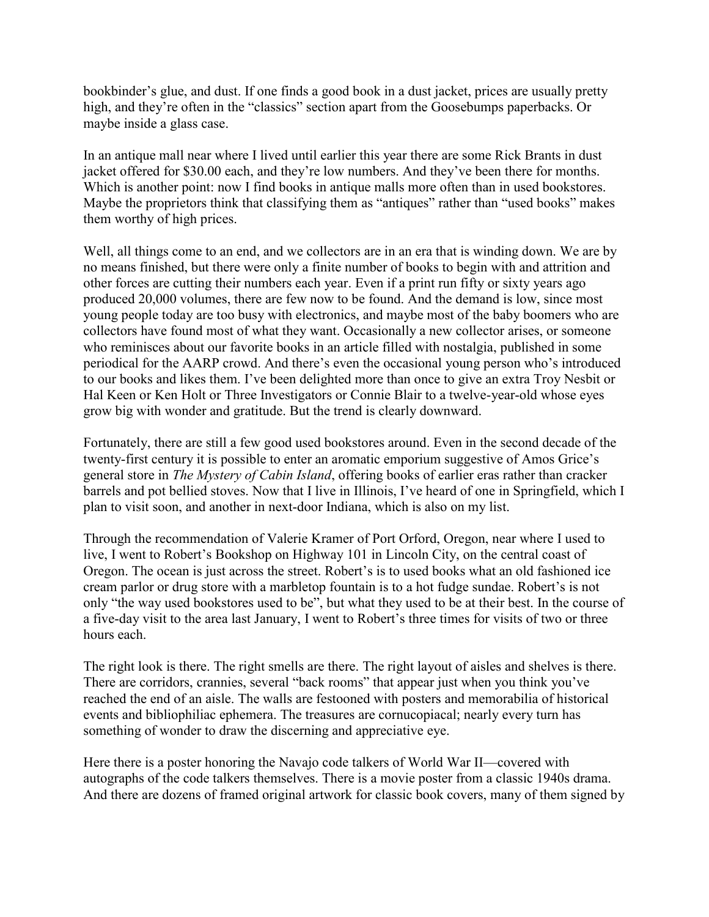bookbinder's glue, and dust. If one finds a good book in a dust jacket, prices are usually pretty high, and they're often in the "classics" section apart from the Goosebumps paperbacks. Or maybe inside a glass case.

In an antique mall near where I lived until earlier this year there are some Rick Brants in dust jacket offered for \$30.00 each, and they're low numbers. And they've been there for months. Which is another point: now I find books in antique malls more often than in used bookstores. Maybe the proprietors think that classifying them as "antiques" rather than "used books" makes them worthy of high prices.

Well, all things come to an end, and we collectors are in an era that is winding down. We are by no means finished, but there were only a finite number of books to begin with and attrition and other forces are cutting their numbers each year. Even if a print run fifty or sixty years ago produced 20,000 volumes, there are few now to be found. And the demand is low, since most young people today are too busy with electronics, and maybe most of the baby boomers who are collectors have found most of what they want. Occasionally a new collector arises, or someone who reminisces about our favorite books in an article filled with nostalgia, published in some periodical for the AARP crowd. And there's even the occasional young person who's introduced to our books and likes them. I've been delighted more than once to give an extra Troy Nesbit or Hal Keen or Ken Holt or Three Investigators or Connie Blair to a twelve-year-old whose eyes grow big with wonder and gratitude. But the trend is clearly downward.

Fortunately, there are still a few good used bookstores around. Even in the second decade of the twenty-first century it is possible to enter an aromatic emporium suggestive of Amos Grice's general store in *The Mystery of Cabin Island*, offering books of earlier eras rather than cracker barrels and pot bellied stoves. Now that I live in Illinois, I've heard of one in Springfield, which I plan to visit soon, and another in next-door Indiana, which is also on my list.

Through the recommendation of Valerie Kramer of Port Orford, Oregon, near where I used to live, I went to Robert's Bookshop on Highway 101 in Lincoln City, on the central coast of Oregon. The ocean is just across the street. Robert's is to used books what an old fashioned ice cream parlor or drug store with a marbletop fountain is to a hot fudge sundae. Robert's is not only "the way used bookstores used to be", but what they used to be at their best. In the course of a five-day visit to the area last January, I went to Robert's three times for visits of two or three hours each.

The right look is there. The right smells are there. The right layout of aisles and shelves is there. There are corridors, crannies, several "back rooms" that appear just when you think you've reached the end of an aisle. The walls are festooned with posters and memorabilia of historical events and bibliophiliac ephemera. The treasures are cornucopiacal; nearly every turn has something of wonder to draw the discerning and appreciative eye.

Here there is a poster honoring the Navajo code talkers of World War II—covered with autographs of the code talkers themselves. There is a movie poster from a classic 1940s drama. And there are dozens of framed original artwork for classic book covers, many of them signed by